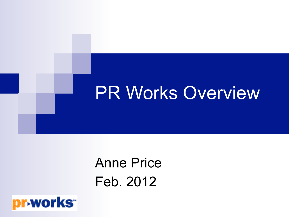## PR Works Overview

## Anne Price Feb. 2012

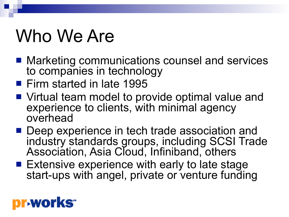# Who We Are

- Marketing communications counsel and services to companies in technology
- Firm started in late 1995
- Virtual team model to provide optimal value and experience to clients, with minimal agency overhead
- Deep experience in tech trade association and industry standards groups, including SCSI Trade Association, Asia Cloud, Infiniband, others
- **Extensive experience with early to late stage** start-ups with angel, private or venture funding

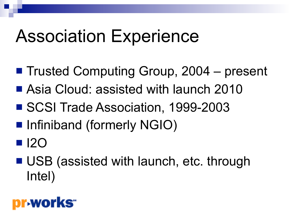## Association Experience

- Trusted Computing Group, 2004 present
- Asia Cloud: assisted with launch 2010
- SCSI Trade Association, 1999-2003
- Infiniband (formerly NGIO)
- $\blacksquare$  I2O
- USB (assisted with launch, etc. through Intel)

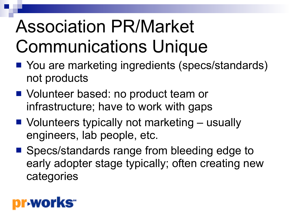# Association PR/Market Communications Unique

- You are marketing ingredients (specs/standards) not products
- Volunteer based: no product team or infrastructure; have to work with gaps
- Volunteers typically not marketing usually engineers, lab people, etc.
- Specs/standards range from bleeding edge to early adopter stage typically; often creating new categories

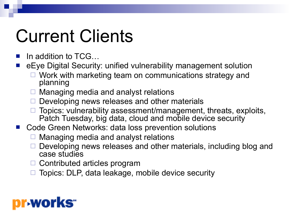# Current Clients

- In addition to TCG...
- n eEye Digital Security: unified vulnerability management solution
	- $\Box$  Work with marketing team on communications strategy and planning
	- Managing media and analyst relations
	- Developing news releases and other materials
	- Topics: vulnerability assessment/management, threats, exploits, Patch Tuesday, big data, cloud and mobile device security
- Code Green Networks: data loss prevention solutions
	- Managing media and analyst relations
	- Developing news releases and other materials, including blog and case studies
	- $\Box$  Contributed articles program
	- Topics: DLP, data leakage, mobile device security

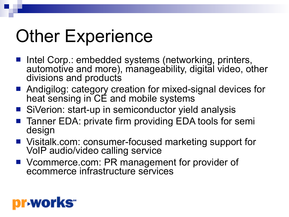# **Other Experience**

- Intel Corp.: embedded systems (networking, printers, automotive and more), manageability, digital video, other divisions and products
- Andigilog: category creation for mixed-signal devices for heat sensing in CE and mobile systems
- SiVerion: start-up in semiconductor yield analysis
- Tanner EDA: private firm providing EDA tools for semi design
- Visitalk.com: consumer-focused marketing support for VoIP audio/video calling service
- Vcommerce.com: PR management for provider of ecommerce infrastructure services

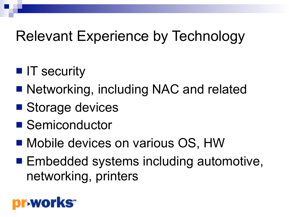## Relevant Experience by Technology

- **n** IT security
- Networking, including NAC and related
- Storage devices
- Semiconductor
- Mobile devices on various OS, HW
- Embedded systems including automotive, networking, printers

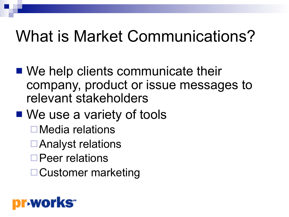## What is Market Communications?

- $\blacksquare$  We help clients communicate their company, product or issue messages to relevant stakeholders
- We use a variety of tools
	- $\square$  Media relations
	- **□Analyst relations**
	- □Peer relations
	- **□ Customer marketing**

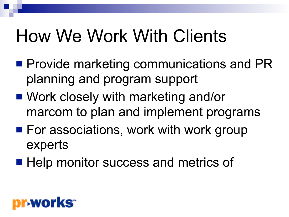# How We Work With Clients

- $\blacksquare$  Provide marketing communications and PR planning and program support
- Work closely with marketing and/or marcom to plan and implement programs
- $\blacksquare$  For associations, work with work group experts
- Help monitor success and metrics of

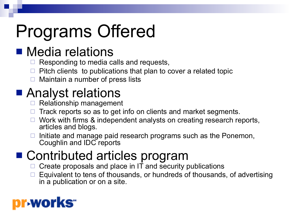# Programs Offered

### **n** Media relations

- $\Box$  Responding to media calls and requests,
- Pitch clients to publications that plan to cover a related topic
- $\Box$  Maintain a number of press lists

### ■ Analyst relations

- $\Box$  Relationship management
- Track reports so as to get info on clients and market segments.
- Work with firms & independent analysts on creating research reports, articles and blogs.
- Initiate and manage paid research programs such as the Ponemon, Coughlin and IDC reports

### ■ Contributed articles program

- $\Box$  Create proposals and place in IT and security publications
- Equivalent to tens of thousands, or hundreds of thousands, of advertising in a publication or on a site.

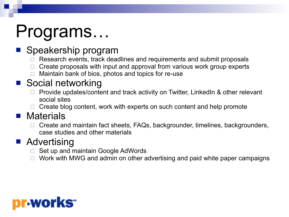# Programs…

### Speakership program

- Research events, track deadlines and requirements and submit proposals
- Create proposals with input and approval from various work group experts
- Maintain bank of bios, photos and topics for re-use

#### ■ Social networking

- Provide updates/content and track activity on Twitter, LinkedIn & other relevant social sites
- $\Box$  Create blog content, work with experts on such content and help promote

#### $\blacksquare$  Materials

Create and maintain fact sheets, FAQs, backgrounder, timelines, backgrounders, case studies and other materials

#### **n** Advertising

- Set up and maintain Google AdWords
- $\Box$  Work with MWG and admin on other advertising and paid white paper campaigns